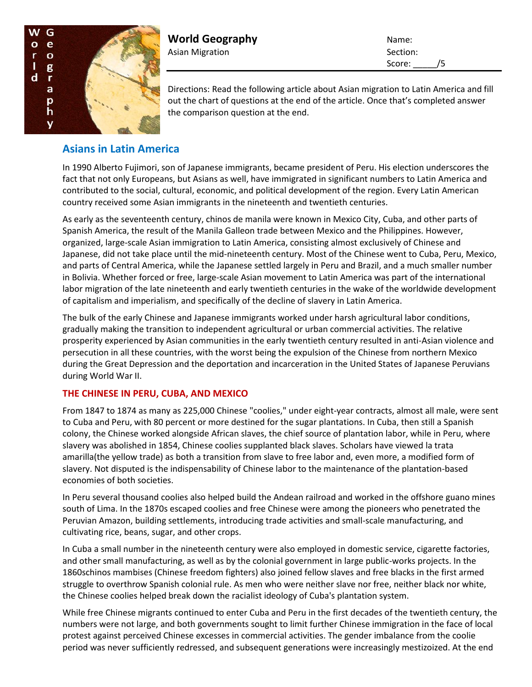

**World Geography** Name: Asian Migration and Section:

Score: /5

Directions: Read the following article about Asian migration to Latin America and fill out the chart of questions at the end of the article. Once that's completed answer the comparison question at the end.

## **Asians in Latin America**

In 1990 Alberto Fujimori, son of Japanese immigrants, became president of Peru. His election underscores the fact that not only Europeans, but Asians as well, have immigrated in significant numbers to Latin America and contributed to the social, cultural, economic, and political development of the region. Every Latin American country received some Asian immigrants in the nineteenth and twentieth centuries.

As early as the seventeenth century, chinos de manila were known in Mexico City, Cuba, and other parts of Spanish America, the result of the Manila Galleon trade between Mexico and the Philippines. However, organized, large-scale Asian immigration to Latin America, consisting almost exclusively of Chinese and Japanese, did not take place until the mid-nineteenth century. Most of the Chinese went to Cuba, Peru, Mexico, and parts of Central America, while the Japanese settled largely in Peru and Brazil, and a much smaller number in Bolivia. Whether forced or free, large-scale Asian movement to Latin America was part of the international labor migration of the late nineteenth and early twentieth centuries in the wake of the worldwide development of capitalism and imperialism, and specifically of the decline of slavery in Latin America.

The bulk of the early Chinese and Japanese immigrants worked under harsh agricultural labor conditions, gradually making the transition to independent agricultural or urban commercial activities. The relative prosperity experienced by Asian communities in the early twentieth century resulted in anti-Asian violence and persecution in all these countries, with the worst being the expulsion of the Chinese from northern Mexico during the Great Depression and the deportation and incarceration in the United States of Japanese Peruvians during World War II.

## **THE CHINESE IN PERU, CUBA, AND MEXICO**

From 1847 to 1874 as many as 225,000 Chinese "coolies," under eight-year contracts, almost all male, were sent to Cuba and Peru, with 80 percent or more destined for the sugar plantations. In Cuba, then still a Spanish colony, the Chinese worked alongside African slaves, the chief source of plantation labor, while in Peru, where slavery was abolished in 1854, Chinese coolies supplanted black slaves. Scholars have viewed la trata amarilla(the yellow trade) as both a transition from slave to free labor and, even more, a modified form of slavery. Not disputed is the indispensability of Chinese labor to the maintenance of the plantation-based economies of both societies.

In Peru several thousand coolies also helped build the Andean railroad and worked in the offshore guano mines south of Lima. In the 1870s escaped coolies and free Chinese were among the pioneers who penetrated the Peruvian Amazon, building settlements, introducing trade activities and small-scale manufacturing, and cultivating rice, beans, sugar, and other crops.

In Cuba a small number in the nineteenth century were also employed in domestic service, cigarette factories, and other small manufacturing, as well as by the colonial government in large public-works projects. In the 1860schinos mambises (Chinese freedom fighters) also joined fellow slaves and free blacks in the first armed struggle to overthrow Spanish colonial rule. As men who were neither slave nor free, neither black nor white, the Chinese coolies helped break down the racialist ideology of Cuba's plantation system.

While free Chinese migrants continued to enter Cuba and Peru in the first decades of the twentieth century, the numbers were not large, and both governments sought to limit further Chinese immigration in the face of local protest against perceived Chinese excesses in commercial activities. The gender imbalance from the coolie period was never sufficiently redressed, and subsequent generations were increasingly mestizoized. At the end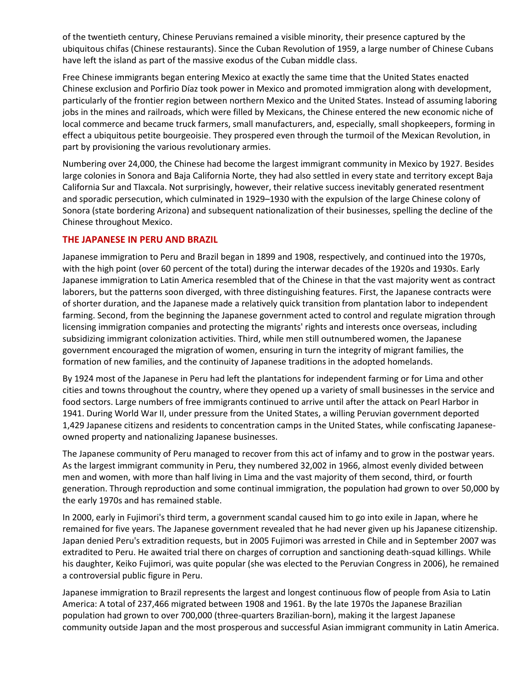of the twentieth century, Chinese Peruvians remained a visible minority, their presence captured by the ubiquitous chifas (Chinese restaurants). Since the Cuban Revolution of 1959, a large number of Chinese Cubans have left the island as part of the massive exodus of the Cuban middle class.

Free Chinese immigrants began entering Mexico at exactly the same time that the United States enacted Chinese exclusion and Porfirio Díaz took power in Mexico and promoted immigration along with development, particularly of the frontier region between northern Mexico and the United States. Instead of assuming laboring jobs in the mines and railroads, which were filled by Mexicans, the Chinese entered the new economic niche of local commerce and became truck farmers, small manufacturers, and, especially, small shopkeepers, forming in effect a ubiquitous petite bourgeoisie. They prospered even through the turmoil of the Mexican Revolution, in part by provisioning the various revolutionary armies.

Numbering over 24,000, the Chinese had become the largest immigrant community in Mexico by 1927. Besides large colonies in Sonora and Baja California Norte, they had also settled in every state and territory except Baja California Sur and Tlaxcala. Not surprisingly, however, their relative success inevitably generated resentment and sporadic persecution, which culminated in 1929–1930 with the expulsion of the large Chinese colony of Sonora (state bordering Arizona) and subsequent nationalization of their businesses, spelling the decline of the Chinese throughout Mexico.

## **THE JAPANESE IN PERU AND BRAZIL**

Japanese immigration to Peru and Brazil began in 1899 and 1908, respectively, and continued into the 1970s, with the high point (over 60 percent of the total) during the interwar decades of the 1920s and 1930s. Early Japanese immigration to Latin America resembled that of the Chinese in that the vast majority went as contract laborers, but the patterns soon diverged, with three distinguishing features. First, the Japanese contracts were of shorter duration, and the Japanese made a relatively quick transition from plantation labor to independent farming. Second, from the beginning the Japanese government acted to control and regulate migration through licensing immigration companies and protecting the migrants' rights and interests once overseas, including subsidizing immigrant colonization activities. Third, while men still outnumbered women, the Japanese government encouraged the migration of women, ensuring in turn the integrity of migrant families, the formation of new families, and the continuity of Japanese traditions in the adopted homelands.

By 1924 most of the Japanese in Peru had left the plantations for independent farming or for Lima and other cities and towns throughout the country, where they opened up a variety of small businesses in the service and food sectors. Large numbers of free immigrants continued to arrive until after the attack on Pearl Harbor in 1941. During World War II, under pressure from the United States, a willing Peruvian government deported 1,429 Japanese citizens and residents to concentration camps in the United States, while confiscating Japaneseowned property and nationalizing Japanese businesses.

The Japanese community of Peru managed to recover from this act of infamy and to grow in the postwar years. As the largest immigrant community in Peru, they numbered 32,002 in 1966, almost evenly divided between men and women, with more than half living in Lima and the vast majority of them second, third, or fourth generation. Through reproduction and some continual immigration, the population had grown to over 50,000 by the early 1970s and has remained stable.

In 2000, early in Fujimori's third term, a government scandal caused him to go into exile in Japan, where he remained for five years. The Japanese government revealed that he had never given up his Japanese citizenship. Japan denied Peru's extradition requests, but in 2005 Fujimori was arrested in Chile and in September 2007 was extradited to Peru. He awaited trial there on charges of corruption and sanctioning death-squad killings. While his daughter, Keiko Fujimori, was quite popular (she was elected to the Peruvian Congress in 2006), he remained a controversial public figure in Peru.

Japanese immigration to Brazil represents the largest and longest continuous flow of people from Asia to Latin America: A total of 237,466 migrated between 1908 and 1961. By the late 1970s the Japanese Brazilian population had grown to over 700,000 (three-quarters Brazilian-born), making it the largest Japanese community outside Japan and the most prosperous and successful Asian immigrant community in Latin America.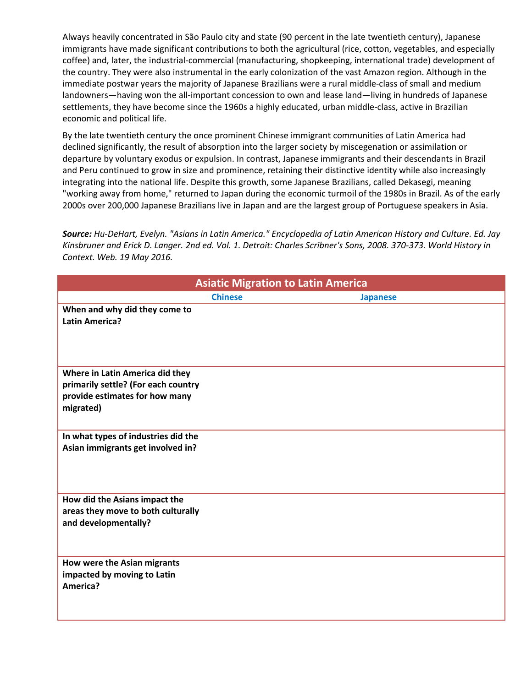Always heavily concentrated in São Paulo city and state (90 percent in the late twentieth century), Japanese immigrants have made significant contributions to both the agricultural (rice, cotton, vegetables, and especially coffee) and, later, the industrial-commercial (manufacturing, shopkeeping, international trade) development of the country. They were also instrumental in the early colonization of the vast Amazon region. Although in the immediate postwar years the majority of Japanese Brazilians were a rural middle-class of small and medium landowners—having won the all-important concession to own and lease land—living in hundreds of Japanese settlements, they have become since the 1960s a highly educated, urban middle-class, active in Brazilian economic and political life.

By the late twentieth century the once prominent Chinese immigrant communities of Latin America had declined significantly, the result of absorption into the larger society by miscegenation or assimilation or departure by voluntary exodus or expulsion. In contrast, Japanese immigrants and their descendants in Brazil and Peru continued to grow in size and prominence, retaining their distinctive identity while also increasingly integrating into the national life. Despite this growth, some Japanese Brazilians, called Dekasegi, meaning "working away from home," returned to Japan during the economic turmoil of the 1980s in Brazil. As of the early 2000s over 200,000 Japanese Brazilians live in Japan and are the largest group of Portuguese speakers in Asia.

*Source: Hu-DeHart, Evelyn. "Asians in Latin America." Encyclopedia of Latin American History and Culture. Ed. Jay Kinsbruner and Erick D. Langer. 2nd ed. Vol. 1. Detroit: Charles Scribner's Sons, 2008. 370-373. World History in Context. Web. 19 May 2016.*

| <b>Asiatic Migration to Latin America</b>                                          |                |                 |
|------------------------------------------------------------------------------------|----------------|-----------------|
|                                                                                    | <b>Chinese</b> | <b>Japanese</b> |
| When and why did they come to<br><b>Latin America?</b>                             |                |                 |
| Where in Latin America did they                                                    |                |                 |
| primarily settle? (For each country<br>provide estimates for how many<br>migrated) |                |                 |
| In what types of industries did the<br>Asian immigrants get involved in?           |                |                 |
| How did the Asians impact the                                                      |                |                 |
| areas they move to both culturally<br>and developmentally?                         |                |                 |
| How were the Asian migrants<br>impacted by moving to Latin<br>America?             |                |                 |